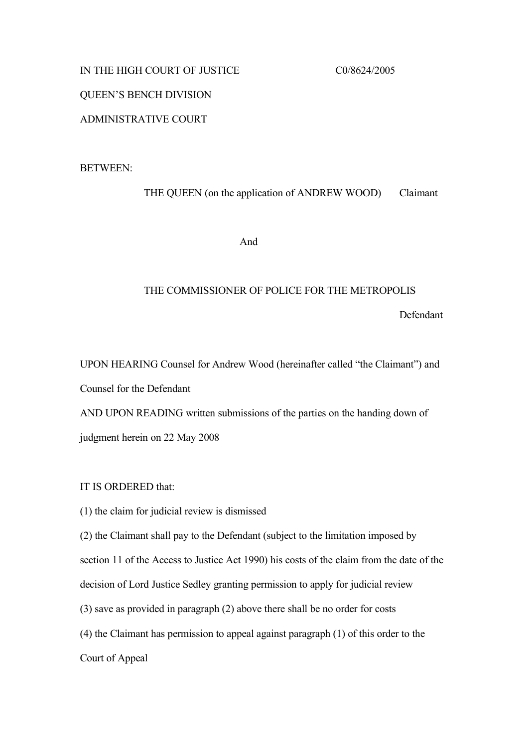## IN THE HIGH COURT OF JUSTICE CO/8624/2005

# QUEEN'S BENCH DIVISION

# ADMINISTRATIVE COURT

### BETWEEN:

THE QUEEN (on the application of ANDREW WOOD) Claimant

And

#### THE COMMISSIONER OF POLICE FOR THE METROPOLIS

Defendant

UPON HEARING Counsel for Andrew Wood (hereinafter called "the Claimant") and Counsel for the Defendant AND UPON READING written submissions of the parties on the handing down of judgment herein on 22 May 2008

IT IS ORDERED that:

(1) the claim for judicial review is dismissed

(2) the Claimant shall pay to the Defendant (subject to the limitation imposed by

section 11 of the Access to Justice Act 1990) his costs of the claim from the date of the

decision of Lord Justice Sedley granting permission to apply for judicial review

(3) save as provided in paragraph (2) above there shall be no order for costs

(4) the Claimant has permission to appeal against paragraph (1) of this order to the

Court of Appeal